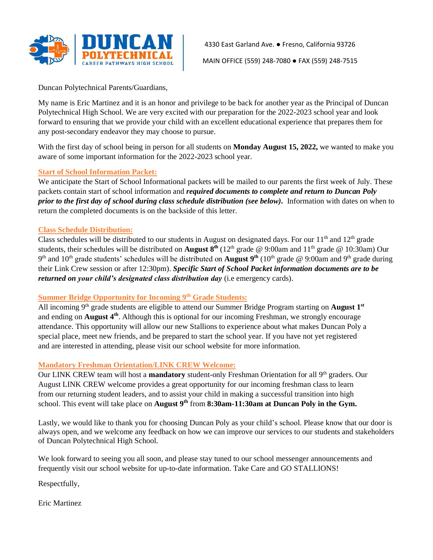

4330 East Garland Ave. ● Fresno, California 93726

MAIN OFFICE (559) 248-7080 ● FAX (559) 248-7515

Duncan Polytechnical Parents/Guardians,

My name is Eric Martinez and it is an honor and privilege to be back for another year as the Principal of Duncan Polytechnical High School. We are very excited with our preparation for the 2022-2023 school year and look forward to ensuring that we provide your child with an excellent educational experience that prepares them for any post-secondary endeavor they may choose to pursue.

With the first day of school being in person for all students on **Monday August 15, 2022,** we wanted to make you aware of some important information for the 2022-2023 school year.

## **Start of School Information Packet:**

We anticipate the Start of School Informational packets will be mailed to our parents the first week of July. These packets contain start of school information and *required documents to complete and return to Duncan Poly prior to the first day of school during class schedule distribution (see below).* Information with dates on when to return the completed documents is on the backside of this letter.

## **Class Schedule Distribution:**

Class schedules will be distributed to our students in August on designated days. For our  $11<sup>th</sup>$  and  $12<sup>th</sup>$  grade students, their schedules will be distributed on **August 8<sup>th</sup>** (12<sup>th</sup> grade @ 9:00am and 11<sup>th</sup> grade @ 10:30am) Our 9<sup>th</sup> and 10<sup>th</sup> grade students' schedules will be distributed on **August 9<sup>th</sup>** (10<sup>th</sup> grade @ 9:00am and 9<sup>th</sup> grade during their Link Crew session or after 12:30pm). *Specific Start of School Packet information documents are to be returned on your child's designated class distribution day* (i.e emergency cards).

# **Summer Bridge Opportunity for Incoming 9th Grade Students:**

All incoming 9th grade students are eligible to attend our Summer Bridge Program starting on **August 1st** and ending on **August 4th**. Although this is optional for our incoming Freshman, we strongly encourage attendance. This opportunity will allow our new Stallions to experience about what makes Duncan Poly a special place, meet new friends, and be prepared to start the school year. If you have not yet registered and are interested in attending, please visit our school website for more information.

## **Mandatory Freshman Orientation/LINK CREW Welcome:**

Our LINK CREW team will host a **mandatory** student-only Freshman Orientation for all 9th graders. Our August LINK CREW welcome provides a great opportunity for our incoming freshman class to learn from our returning student leaders, and to assist your child in making a successful transition into high school. This event will take place on **August 9 th** from **8:30am-11:30am at Duncan Poly in the Gym.**

Lastly, we would like to thank you for choosing Duncan Poly as your child's school. Please know that our door is always open, and we welcome any feedback on how we can improve our services to our students and stakeholders of Duncan Polytechnical High School.

We look forward to seeing you all soon, and please stay tuned to our school messenger announcements and frequently visit our school website for up-to-date information. Take Care and GO STALLIONS!

Respectfully,

Eric Martinez